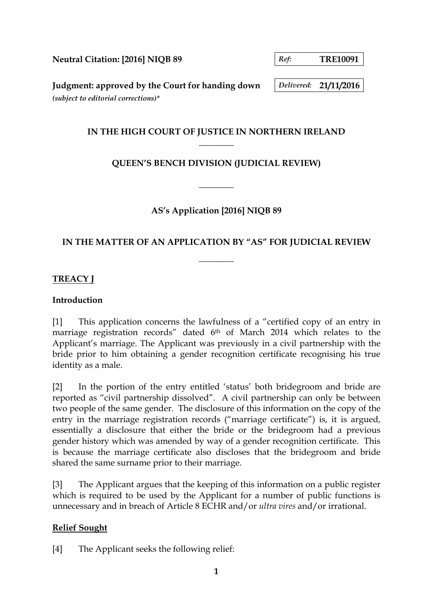**Neutral Citation: [2016] NIQB 89** *Ref:* TRE10091

**Judgment: approved by the Court for handing down** *Delivered:* **21/11/2016** *(subject to editorial corrections)\**

### **IN THE HIGH COURT OF JUSTICE IN NORTHERN IRELAND \_\_\_\_\_\_\_\_**

# **QUEEN'S BENCH DIVISION (JUDICIAL REVIEW)**

**\_\_\_\_\_\_\_\_**

### **AS's Application [2016] NIQB 89**

### **IN THE MATTER OF AN APPLICATION BY "AS" FOR JUDICIAL REVIEW**

**\_\_\_\_\_\_\_\_**

### **TREACY J**

#### **Introduction**

[1] This application concerns the lawfulness of a "certified copy of an entry in marriage registration records" dated 6th of March 2014 which relates to the Applicant's marriage. The Applicant was previously in a civil partnership with the bride prior to him obtaining a gender recognition certificate recognising his true identity as a male.

[2] In the portion of the entry entitled 'status' both bridegroom and bride are reported as "civil partnership dissolved". A civil partnership can only be between two people of the same gender. The disclosure of this information on the copy of the entry in the marriage registration records ("marriage certificate") is, it is argued, essentially a disclosure that either the bride or the bridegroom had a previous gender history which was amended by way of a gender recognition certificate. This is because the marriage certificate also discloses that the bridegroom and bride shared the same surname prior to their marriage.

[3] The Applicant argues that the keeping of this information on a public register which is required to be used by the Applicant for a number of public functions is unnecessary and in breach of Article 8 ECHR and/or *ultra vires* and/or irrational.

### **Relief Sought**

[4] The Applicant seeks the following relief: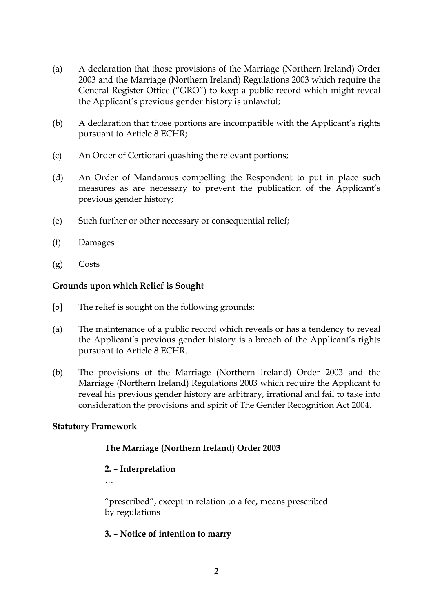- (a) A declaration that those provisions of the Marriage (Northern Ireland) Order 2003 and the Marriage (Northern Ireland) Regulations 2003 which require the General Register Office ("GRO") to keep a public record which might reveal the Applicant's previous gender history is unlawful;
- (b) A declaration that those portions are incompatible with the Applicant's rights pursuant to Article 8 ECHR;
- (c) An Order of Certiorari quashing the relevant portions;
- (d) An Order of Mandamus compelling the Respondent to put in place such measures as are necessary to prevent the publication of the Applicant's previous gender history;
- (e) Such further or other necessary or consequential relief;
- (f) Damages
- (g) Costs

#### **Grounds upon which Relief is Sought**

- [5] The relief is sought on the following grounds:
- (a) The maintenance of a public record which reveals or has a tendency to reveal the Applicant's previous gender history is a breach of the Applicant's rights pursuant to Article 8 ECHR.
- (b) The provisions of the Marriage (Northern Ireland) Order 2003 and the Marriage (Northern Ireland) Regulations 2003 which require the Applicant to reveal his previous gender history are arbitrary, irrational and fail to take into consideration the provisions and spirit of The Gender Recognition Act 2004.

#### **Statutory Framework**

### **The Marriage (Northern Ireland) Order 2003**

### **2. – Interpretation**

…

"prescribed", except in relation to a fee, means prescribed by regulations

#### **3. – Notice of intention to marry**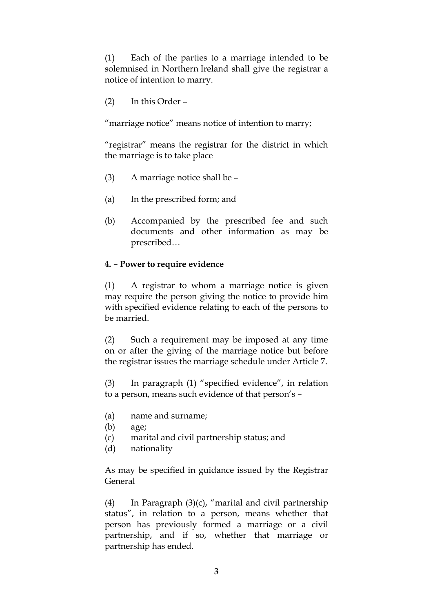(1) Each of the parties to a marriage intended to be solemnised in Northern Ireland shall give the registrar a notice of intention to marry.

(2) In this Order –

"marriage notice" means notice of intention to marry;

"registrar" means the registrar for the district in which the marriage is to take place

- (3) A marriage notice shall be –
- (a) In the prescribed form; and
- (b) Accompanied by the prescribed fee and such documents and other information as may be prescribed…

#### **4. – Power to require evidence**

(1) A registrar to whom a marriage notice is given may require the person giving the notice to provide him with specified evidence relating to each of the persons to be married.

(2) Such a requirement may be imposed at any time on or after the giving of the marriage notice but before the registrar issues the marriage schedule under Article 7.

(3) In paragraph (1) "specified evidence", in relation to a person, means such evidence of that person's –

- (a) name and surname;
- (b) age;
- (c) marital and civil partnership status; and
- (d) nationality

As may be specified in guidance issued by the Registrar General

(4) In Paragraph (3)(c), "marital and civil partnership status", in relation to a person, means whether that person has previously formed a marriage or a civil partnership, and if so, whether that marriage or partnership has ended.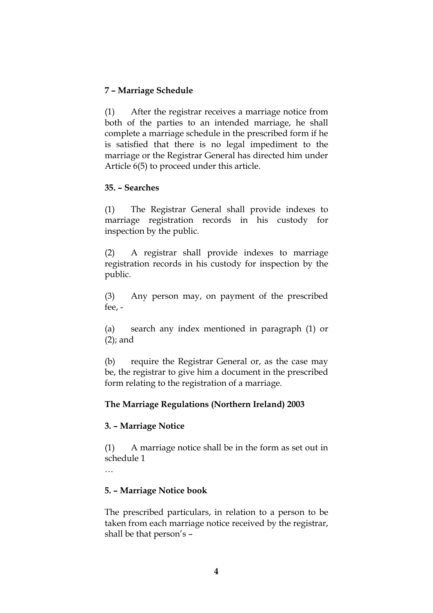## **7 – Marriage Schedule**

(1) After the registrar receives a marriage notice from both of the parties to an intended marriage, he shall complete a marriage schedule in the prescribed form if he is satisfied that there is no legal impediment to the marriage or the Registrar General has directed him under Article 6(5) to proceed under this article.

#### **35. – Searches**

(1) The Registrar General shall provide indexes to marriage registration records in his custody for inspection by the public.

(2) A registrar shall provide indexes to marriage registration records in his custody for inspection by the public.

(3) Any person may, on payment of the prescribed fee, -

(a) search any index mentioned in paragraph (1) or (2); and

(b) require the Registrar General or, as the case may be, the registrar to give him a document in the prescribed form relating to the registration of a marriage.

### **The Marriage Regulations (Northern Ireland) 2003**

### **3. – Marriage Notice**

(1) A marriage notice shall be in the form as set out in schedule 1

…

### **5. – Marriage Notice book**

The prescribed particulars, in relation to a person to be taken from each marriage notice received by the registrar, shall be that person's –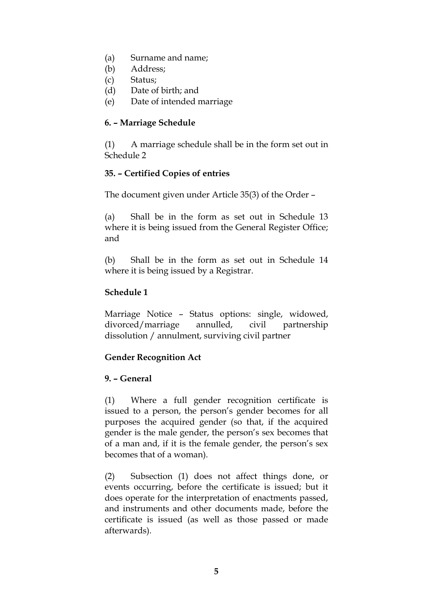- (a) Surname and name;
- (b) Address;
- (c) Status;
- (d) Date of birth; and
- (e) Date of intended marriage

### **6. – Marriage Schedule**

(1) A marriage schedule shall be in the form set out in Schedule 2

### **35. – Certified Copies of entries**

The document given under Article 35(3) of the Order –

(a) Shall be in the form as set out in Schedule 13 where it is being issued from the General Register Office; and

(b) Shall be in the form as set out in Schedule 14 where it is being issued by a Registrar.

### **Schedule 1**

Marriage Notice – Status options: single, widowed, divorced/marriage annulled, civil partnership dissolution / annulment, surviving civil partner

### **Gender Recognition Act**

### **9. – General**

(1) Where a full gender recognition certificate is issued to a person, the person's gender becomes for all purposes the acquired gender (so that, if the acquired gender is the male gender, the person's sex becomes that of a man and, if it is the female gender, the person's sex becomes that of a woman).

(2) Subsection (1) does not affect things done, or events occurring, before the certificate is issued; but it does operate for the interpretation of enactments passed, and instruments and other documents made, before the certificate is issued (as well as those passed or made afterwards).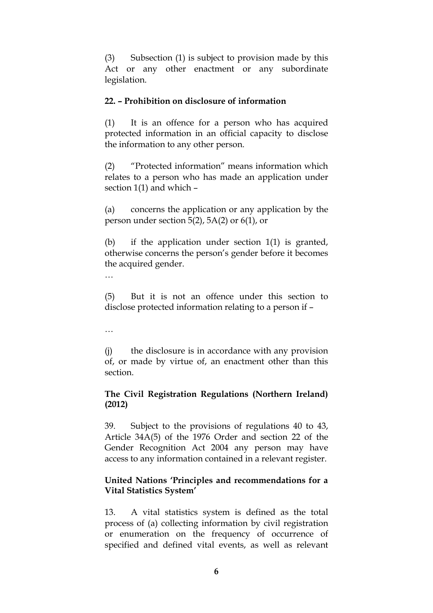(3) Subsection (1) is subject to provision made by this Act or any other enactment or any subordinate legislation.

#### **22. – Prohibition on disclosure of information**

(1) It is an offence for a person who has acquired protected information in an official capacity to disclose the information to any other person.

(2) "Protected information" means information which relates to a person who has made an application under section 1(1) and which –

(a) concerns the application or any application by the person under section 5(2), 5A(2) or 6(1), or

(b) if the application under section 1(1) is granted, otherwise concerns the person's gender before it becomes the acquired gender.

…

(5) But it is not an offence under this section to disclose protected information relating to a person if –

…

(j) the disclosure is in accordance with any provision of, or made by virtue of, an enactment other than this section.

### **The Civil Registration Regulations (Northern Ireland) (2012)**

39. Subject to the provisions of regulations 40 to 43, Article 34A(5) of the 1976 Order and section 22 of the Gender Recognition Act 2004 any person may have access to any information contained in a relevant register.

#### **United Nations 'Principles and recommendations for a Vital Statistics System'**

13. A vital statistics system is defined as the total process of (a) collecting information by civil registration or enumeration on the frequency of occurrence of specified and defined vital events, as well as relevant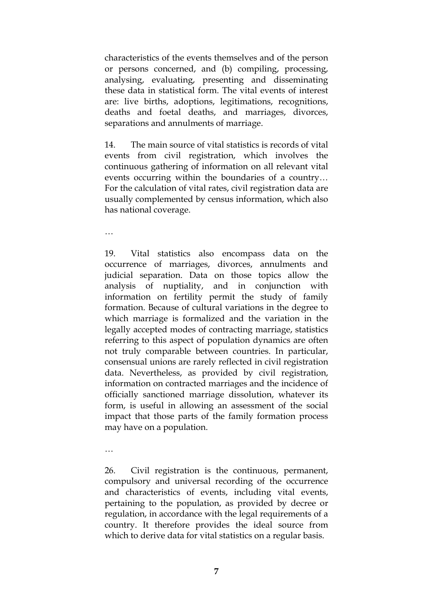characteristics of the events themselves and of the person or persons concerned, and (b) compiling, processing, analysing, evaluating, presenting and disseminating these data in statistical form. The vital events of interest are: live births, adoptions, legitimations, recognitions, deaths and foetal deaths, and marriages, divorces, separations and annulments of marriage.

14. The main source of vital statistics is records of vital events from civil registration, which involves the continuous gathering of information on all relevant vital events occurring within the boundaries of a country… For the calculation of vital rates, civil registration data are usually complemented by census information, which also has national coverage.

…

19. Vital statistics also encompass data on the occurrence of marriages, divorces, annulments and judicial separation. Data on those topics allow the analysis of nuptiality, and in conjunction with information on fertility permit the study of family formation. Because of cultural variations in the degree to which marriage is formalized and the variation in the legally accepted modes of contracting marriage, statistics referring to this aspect of population dynamics are often not truly comparable between countries. In particular, consensual unions are rarely reflected in civil registration data. Nevertheless, as provided by civil registration, information on contracted marriages and the incidence of officially sanctioned marriage dissolution, whatever its form, is useful in allowing an assessment of the social impact that those parts of the family formation process may have on a population.

…

26. Civil registration is the continuous, permanent, compulsory and universal recording of the occurrence and characteristics of events, including vital events, pertaining to the population, as provided by decree or regulation, in accordance with the legal requirements of a country. It therefore provides the ideal source from which to derive data for vital statistics on a regular basis.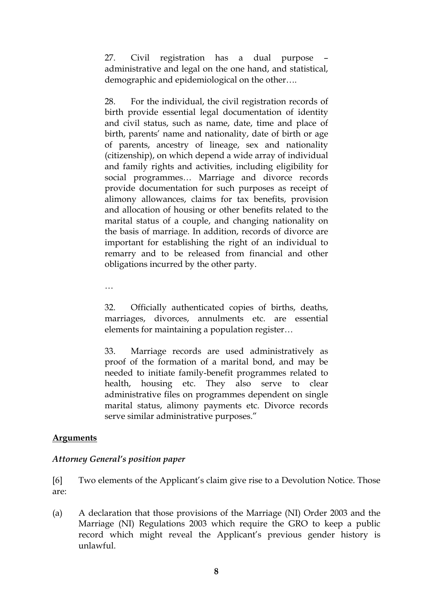27. Civil registration has a dual purpose – administrative and legal on the one hand, and statistical, demographic and epidemiological on the other….

28. For the individual, the civil registration records of birth provide essential legal documentation of identity and civil status, such as name, date, time and place of birth, parents' name and nationality, date of birth or age of parents, ancestry of lineage, sex and nationality (citizenship), on which depend a wide array of individual and family rights and activities, including eligibility for social programmes… Marriage and divorce records provide documentation for such purposes as receipt of alimony allowances, claims for tax benefits, provision and allocation of housing or other benefits related to the marital status of a couple, and changing nationality on the basis of marriage. In addition, records of divorce are important for establishing the right of an individual to remarry and to be released from financial and other obligations incurred by the other party.

…

32. Officially authenticated copies of births, deaths, marriages, divorces, annulments etc. are essential elements for maintaining a population register…

33. Marriage records are used administratively as proof of the formation of a marital bond, and may be needed to initiate family-benefit programmes related to health, housing etc. They also serve to clear administrative files on programmes dependent on single marital status, alimony payments etc. Divorce records serve similar administrative purposes."

# **Arguments**

### *Attorney General's position paper*

[6] Two elements of the Applicant's claim give rise to a Devolution Notice. Those are:

(a) A declaration that those provisions of the Marriage (NI) Order 2003 and the Marriage (NI) Regulations 2003 which require the GRO to keep a public record which might reveal the Applicant's previous gender history is unlawful.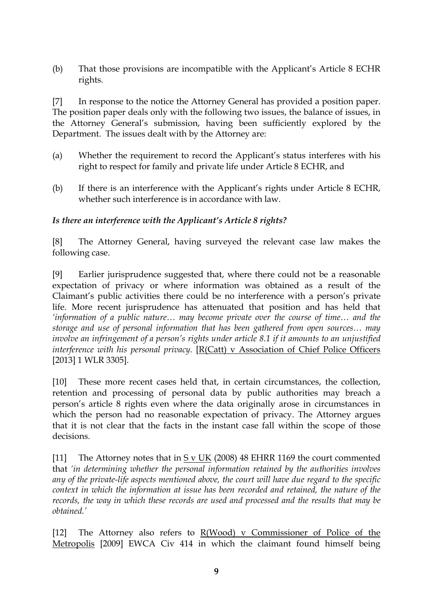(b) That those provisions are incompatible with the Applicant's Article 8 ECHR rights.

[7] In response to the notice the Attorney General has provided a position paper. The position paper deals only with the following two issues, the balance of issues, in the Attorney General's submission, having been sufficiently explored by the Department. The issues dealt with by the Attorney are:

- (a) Whether the requirement to record the Applicant's status interferes with his right to respect for family and private life under Article 8 ECHR, and
- (b) If there is an interference with the Applicant's rights under Article 8 ECHR, whether such interference is in accordance with law.

### *Is there an interference with the Applicant's Article 8 rights?*

[8] The Attorney General, having surveyed the relevant case law makes the following case.

[9] Earlier jurisprudence suggested that, where there could not be a reasonable expectation of privacy or where information was obtained as a result of the Claimant's public activities there could be no interference with a person's private life. More recent jurisprudence has attenuated that position and has held that *'information of a public nature… may become private over the course of time… and the storage and use of personal information that has been gathered from open sources… may involve an infringement of a person's rights under article 8.1 if it amounts to an unjustified interference with his personal privacy.* [R(Catt) v Association of Chief Police Officers [2013] 1 WLR 3305].

[10] These more recent cases held that, in certain circumstances, the collection, retention and processing of personal data by public authorities may breach a person's article 8 rights even where the data originally arose in circumstances in which the person had no reasonable expectation of privacy. The Attorney argues that it is not clear that the facts in the instant case fall within the scope of those decisions.

[11] The Attorney notes that in S v UK (2008) 48 EHRR 1169 the court commented that *'in determining whether the personal information retained by the authorities involves any of the private-life aspects mentioned above, the court will have due regard to the specific context in which the information at issue has been recorded and retained, the nature of the records, the way in which these records are used and processed and the results that may be obtained.'*

[12] The Attorney also refers to R(Wood) v Commissioner of Police of the Metropolis [2009] EWCA Civ 414 in which the claimant found himself being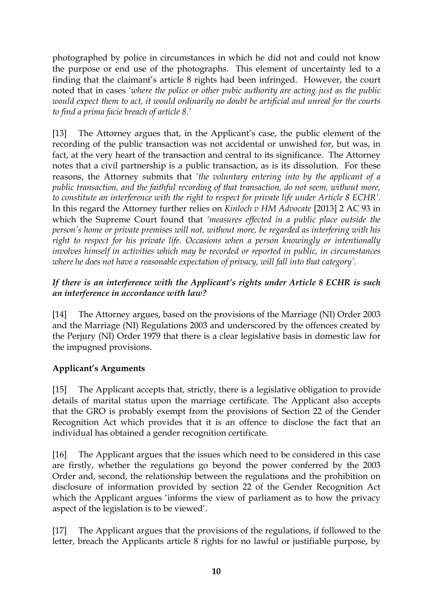photographed by police in circumstances in which he did not and could not know the purpose or end use of the photographs. This element of uncertainty led to a finding that the claimant's article 8 rights had been infringed. However, the court noted that in cases *'where the police or other pubic authority are acting just as the public would expect them to act, it would ordinarily no doubt be artificial and unreal for the courts to find a prima facie breach of article 8.'*

[13] The Attorney argues that, in the Applicant's case, the public element of the recording of the public transaction was not accidental or unwished for, but was, in fact, at the very heart of the transaction and central to its significance. The Attorney notes that a civil partnership is a public transaction, as is its dissolution. For these reasons, the Attorney submits that *'the voluntary entering into by the applicant of a public transaction, and the faithful recording of that transaction, do not seem, without more, to constitute an interference with the right to respect for private life under Article 8 ECHR'.* In this regard the Attorney further relies on *Kinloch v HM Advocate* [2013] 2 AC 93 in which the Supreme Court found that *'measures effected in a public place outside the person's home or private premises will not, without more, be regarded as interfering with his right to respect for his private life. Occasions when a person knowingly or intentionally involves himself in activities which may be recorded or reported in public, in circumstances where he does not have a reasonable expectation of privacy, will fall into that category'.* 

### *If there is an interference with the Applicant's rights under Article 8 ECHR is such an interference in accordance with law?*

[14] The Attorney argues, based on the provisions of the Marriage (NI) Order 2003 and the Marriage (NI) Regulations 2003 and underscored by the offences created by the Perjury (NI) Order 1979 that there is a clear legislative basis in domestic law for the impugned provisions.

# **Applicant's Arguments**

[15] The Applicant accepts that, strictly, there is a legislative obligation to provide details of marital status upon the marriage certificate. The Applicant also accepts that the GRO is probably exempt from the provisions of Section 22 of the Gender Recognition Act which provides that it is an offence to disclose the fact that an individual has obtained a gender recognition certificate.

[16] The Applicant argues that the issues which need to be considered in this case are firstly, whether the regulations go beyond the power conferred by the 2003 Order and, second, the relationship between the regulations and the prohibition on disclosure of information provided by section 22 of the Gender Recognition Act which the Applicant argues 'informs the view of parliament as to how the privacy aspect of the legislation is to be viewed'.

[17] The Applicant argues that the provisions of the regulations, if followed to the letter, breach the Applicants article 8 rights for no lawful or justifiable purpose, by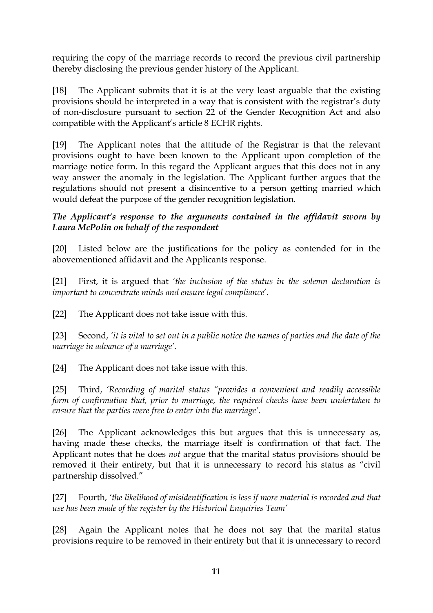requiring the copy of the marriage records to record the previous civil partnership thereby disclosing the previous gender history of the Applicant.

[18] The Applicant submits that it is at the very least arguable that the existing provisions should be interpreted in a way that is consistent with the registrar's duty of non-disclosure pursuant to section 22 of the Gender Recognition Act and also compatible with the Applicant's article 8 ECHR rights.

[19] The Applicant notes that the attitude of the Registrar is that the relevant provisions ought to have been known to the Applicant upon completion of the marriage notice form. In this regard the Applicant argues that this does not in any way answer the anomaly in the legislation. The Applicant further argues that the regulations should not present a disincentive to a person getting married which would defeat the purpose of the gender recognition legislation.

*The Applicant's response to the arguments contained in the affidavit sworn by Laura McPolin on behalf of the respondent*

[20] Listed below are the justifications for the policy as contended for in the abovementioned affidavit and the Applicants response.

[21] First, it is argued that *'the inclusion of the status in the solemn declaration is important to concentrate minds and ensure legal compliance*'.

[22] The Applicant does not take issue with this.

[23] Second, *'it is vital to set out in a public notice the names of parties and the date of the marriage in advance of a marriage'.* 

[24] The Applicant does not take issue with this.

[25] Third, *'Recording of marital status "provides a convenient and readily accessible form of confirmation that, prior to marriage, the required checks have been undertaken to ensure that the parties were free to enter into the marriage'.* 

[26] The Applicant acknowledges this but argues that this is unnecessary as, having made these checks, the marriage itself is confirmation of that fact. The Applicant notes that he does *not* argue that the marital status provisions should be removed it their entirety, but that it is unnecessary to record his status as "civil partnership dissolved."

[27] Fourth, *'the likelihood of misidentification is less if more material is recorded and that use has been made of the register by the Historical Enquiries Team'*

[28] Again the Applicant notes that he does not say that the marital status provisions require to be removed in their entirety but that it is unnecessary to record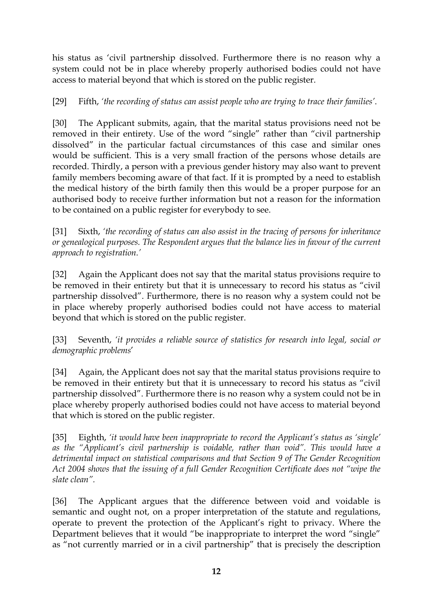his status as 'civil partnership dissolved. Furthermore there is no reason why a system could not be in place whereby properly authorised bodies could not have access to material beyond that which is stored on the public register.

[29] Fifth, *'the recording of status can assist people who are trying to trace their families'*.

[30] The Applicant submits, again, that the marital status provisions need not be removed in their entirety. Use of the word "single" rather than "civil partnership dissolved" in the particular factual circumstances of this case and similar ones would be sufficient. This is a very small fraction of the persons whose details are recorded. Thirdly, a person with a previous gender history may also want to prevent family members becoming aware of that fact. If it is prompted by a need to establish the medical history of the birth family then this would be a proper purpose for an authorised body to receive further information but not a reason for the information to be contained on a public register for everybody to see.

[31] Sixth, *'the recording of status can also assist in the tracing of persons for inheritance or genealogical purposes. The Respondent argues that the balance lies in favour of the current approach to registration.'*

[32] Again the Applicant does not say that the marital status provisions require to be removed in their entirety but that it is unnecessary to record his status as "civil partnership dissolved". Furthermore, there is no reason why a system could not be in place whereby properly authorised bodies could not have access to material beyond that which is stored on the public register.

[33] Seventh, *'it provides a reliable source of statistics for research into legal, social or demographic problems*'

[34] Again, the Applicant does not say that the marital status provisions require to be removed in their entirety but that it is unnecessary to record his status as "civil partnership dissolved". Furthermore there is no reason why a system could not be in place whereby properly authorised bodies could not have access to material beyond that which is stored on the public register.

[35] Eighth, *'it would have been inappropriate to record the Applicant's status as 'single' as the "Applicant's civil partnership is voidable, rather than void". This would have a detrimental impact on statistical comparisons and that Section 9 of The Gender Recognition Act 2004 shows that the issuing of a full Gender Recognition Certificate does not "wipe the slate clean".*

[36] The Applicant argues that the difference between void and voidable is semantic and ought not, on a proper interpretation of the statute and regulations, operate to prevent the protection of the Applicant's right to privacy. Where the Department believes that it would "be inappropriate to interpret the word "single" as "not currently married or in a civil partnership" that is precisely the description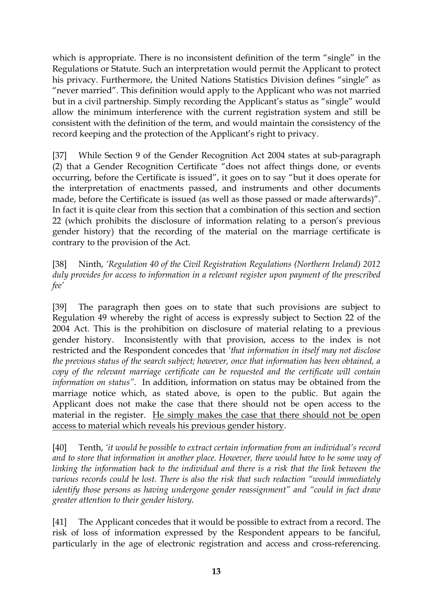which is appropriate. There is no inconsistent definition of the term "single" in the Regulations or Statute. Such an interpretation would permit the Applicant to protect his privacy. Furthermore, the United Nations Statistics Division defines "single" as "never married". This definition would apply to the Applicant who was not married but in a civil partnership. Simply recording the Applicant's status as "single" would allow the minimum interference with the current registration system and still be consistent with the definition of the term, and would maintain the consistency of the record keeping and the protection of the Applicant's right to privacy.

[37] While Section 9 of the Gender Recognition Act 2004 states at sub-paragraph (2) that a Gender Recognition Certificate "does not affect things done, or events occurring, before the Certificate is issued", it goes on to say "but it does operate for the interpretation of enactments passed, and instruments and other documents made, before the Certificate is issued (as well as those passed or made afterwards)". In fact it is quite clear from this section that a combination of this section and section 22 (which prohibits the disclosure of information relating to a person's previous gender history) that the recording of the material on the marriage certificate is contrary to the provision of the Act.

[38] Ninth, *'Regulation 40 of the Civil Registration Regulations (Northern Ireland) 2012 duly provides for access to information in a relevant register upon payment of the prescribed fee'*

[39] The paragraph then goes on to state that such provisions are subject to Regulation 49 whereby the right of access is expressly subject to Section 22 of the 2004 Act. This is the prohibition on disclosure of material relating to a previous gender history. Inconsistently with that provision, access to the index is not restricted and the Respondent concedes that *'that information in itself may not disclose the previous status of the search subject; however, once that information has been obtained, a copy of the relevant marriage certificate can be requested and the certificate will contain information on status".* In addition, information on status may be obtained from the marriage notice which, as stated above, is open to the public. But again the Applicant does not make the case that there should not be open access to the material in the register. He simply makes the case that there should not be open access to material which reveals his previous gender history.

[40] Tenth, *'it would be possible to extract certain information from an individual's record and to store that information in another place. However, there would have to be some way of*  linking the information back to the individual and there is a risk that the link between the *various records could be lost. There is also the risk that such redaction "would immediately identify those persons as having undergone gender reassignment" and "could in fact draw greater attention to their gender history.*

[41] The Applicant concedes that it would be possible to extract from a record. The risk of loss of information expressed by the Respondent appears to be fanciful, particularly in the age of electronic registration and access and cross-referencing.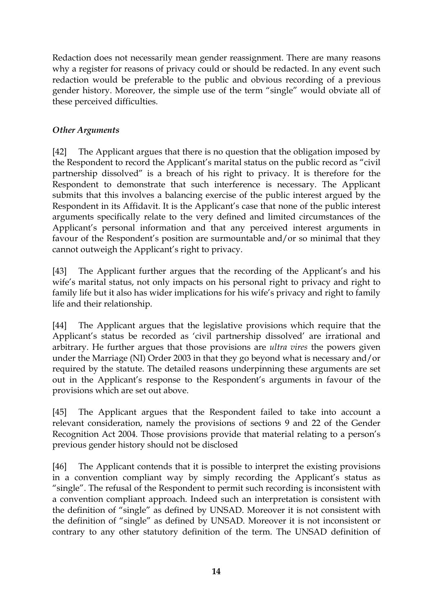Redaction does not necessarily mean gender reassignment. There are many reasons why a register for reasons of privacy could or should be redacted. In any event such redaction would be preferable to the public and obvious recording of a previous gender history. Moreover, the simple use of the term "single" would obviate all of these perceived difficulties.

## *Other Arguments*

[42] The Applicant argues that there is no question that the obligation imposed by the Respondent to record the Applicant's marital status on the public record as "civil partnership dissolved" is a breach of his right to privacy. It is therefore for the Respondent to demonstrate that such interference is necessary. The Applicant submits that this involves a balancing exercise of the public interest argued by the Respondent in its Affidavit. It is the Applicant's case that none of the public interest arguments specifically relate to the very defined and limited circumstances of the Applicant's personal information and that any perceived interest arguments in favour of the Respondent's position are surmountable and/or so minimal that they cannot outweigh the Applicant's right to privacy.

[43] The Applicant further argues that the recording of the Applicant's and his wife's marital status, not only impacts on his personal right to privacy and right to family life but it also has wider implications for his wife's privacy and right to family life and their relationship.

[44] The Applicant argues that the legislative provisions which require that the Applicant's status be recorded as 'civil partnership dissolved' are irrational and arbitrary. He further argues that those provisions are *ultra vires* the powers given under the Marriage (NI) Order 2003 in that they go beyond what is necessary and/or required by the statute. The detailed reasons underpinning these arguments are set out in the Applicant's response to the Respondent's arguments in favour of the provisions which are set out above.

[45] The Applicant argues that the Respondent failed to take into account a relevant consideration, namely the provisions of sections 9 and 22 of the Gender Recognition Act 2004. Those provisions provide that material relating to a person's previous gender history should not be disclosed

[46] The Applicant contends that it is possible to interpret the existing provisions in a convention compliant way by simply recording the Applicant's status as "single". The refusal of the Respondent to permit such recording is inconsistent with a convention compliant approach. Indeed such an interpretation is consistent with the definition of "single" as defined by UNSAD. Moreover it is not consistent with the definition of "single" as defined by UNSAD. Moreover it is not inconsistent or contrary to any other statutory definition of the term. The UNSAD definition of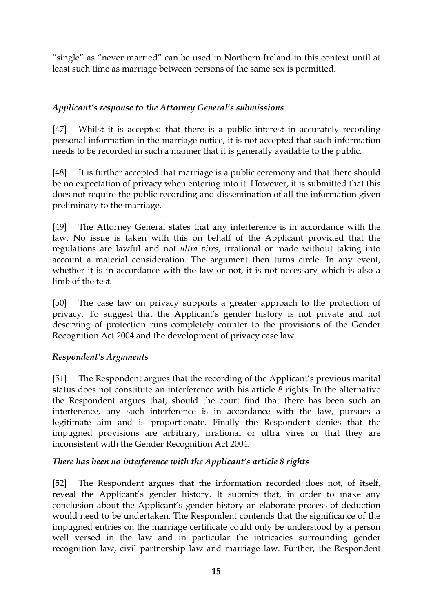"single" as "never married" can be used in Northern Ireland in this context until at least such time as marriage between persons of the same sex is permitted.

## *Applicant's response to the Attorney General's submissions*

[47] Whilst it is accepted that there is a public interest in accurately recording personal information in the marriage notice, it is not accepted that such information needs to be recorded in such a manner that it is generally available to the public.

[48] It is further accepted that marriage is a public ceremony and that there should be no expectation of privacy when entering into it. However, it is submitted that this does not require the public recording and dissemination of all the information given preliminary to the marriage.

[49] The Attorney General states that any interference is in accordance with the law. No issue is taken with this on behalf of the Applicant provided that the regulations are lawful and not *ultra vires*, irrational or made without taking into account a material consideration. The argument then turns circle. In any event, whether it is in accordance with the law or not, it is not necessary which is also a limb of the test.

[50] The case law on privacy supports a greater approach to the protection of privacy. To suggest that the Applicant's gender history is not private and not deserving of protection runs completely counter to the provisions of the Gender Recognition Act 2004 and the development of privacy case law.

### *Respondent's Arguments*

[51] The Respondent argues that the recording of the Applicant's previous marital status does not constitute an interference with his article 8 rights. In the alternative the Respondent argues that, should the court find that there has been such an interference, any such interference is in accordance with the law, pursues a legitimate aim and is proportionate. Finally the Respondent denies that the impugned provisions are arbitrary, irrational or ultra vires or that they are inconsistent with the Gender Recognition Act 2004.

### *There has been no interference with the Applicant's article 8 rights*

[52] The Respondent argues that the information recorded does not, of itself, reveal the Applicant's gender history. It submits that, in order to make any conclusion about the Applicant's gender history an elaborate process of deduction would need to be undertaken. The Respondent contends that the significance of the impugned entries on the marriage certificate could only be understood by a person well versed in the law and in particular the intricacies surrounding gender recognition law, civil partnership law and marriage law. Further, the Respondent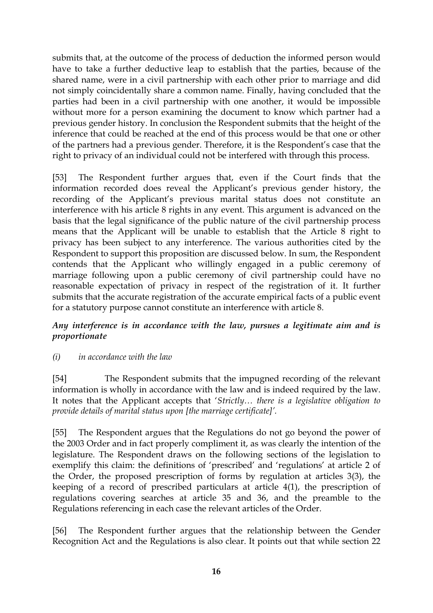submits that, at the outcome of the process of deduction the informed person would have to take a further deductive leap to establish that the parties, because of the shared name, were in a civil partnership with each other prior to marriage and did not simply coincidentally share a common name. Finally, having concluded that the parties had been in a civil partnership with one another, it would be impossible without more for a person examining the document to know which partner had a previous gender history. In conclusion the Respondent submits that the height of the inference that could be reached at the end of this process would be that one or other of the partners had a previous gender. Therefore, it is the Respondent's case that the right to privacy of an individual could not be interfered with through this process.

[53] The Respondent further argues that, even if the Court finds that the information recorded does reveal the Applicant's previous gender history, the recording of the Applicant's previous marital status does not constitute an interference with his article 8 rights in any event. This argument is advanced on the basis that the legal significance of the public nature of the civil partnership process means that the Applicant will be unable to establish that the Article 8 right to privacy has been subject to any interference. The various authorities cited by the Respondent to support this proposition are discussed below. In sum, the Respondent contends that the Applicant who willingly engaged in a public ceremony of marriage following upon a public ceremony of civil partnership could have no reasonable expectation of privacy in respect of the registration of it. It further submits that the accurate registration of the accurate empirical facts of a public event for a statutory purpose cannot constitute an interference with article 8.

### *Any interference is in accordance with the law, pursues a legitimate aim and is proportionate*

#### *(i) in accordance with the law*

[54] The Respondent submits that the impugned recording of the relevant information is wholly in accordance with the law and is indeed required by the law. It notes that the Applicant accepts that '*Strictly… there is a legislative obligation to provide details of marital status upon [the marriage certificate]'.*

[55] The Respondent argues that the Regulations do not go beyond the power of the 2003 Order and in fact properly compliment it, as was clearly the intention of the legislature. The Respondent draws on the following sections of the legislation to exemplify this claim: the definitions of 'prescribed' and 'regulations' at article 2 of the Order, the proposed prescription of forms by regulation at articles 3(3), the keeping of a record of prescribed particulars at article 4(1), the prescription of regulations covering searches at article 35 and 36, and the preamble to the Regulations referencing in each case the relevant articles of the Order.

[56] The Respondent further argues that the relationship between the Gender Recognition Act and the Regulations is also clear. It points out that while section 22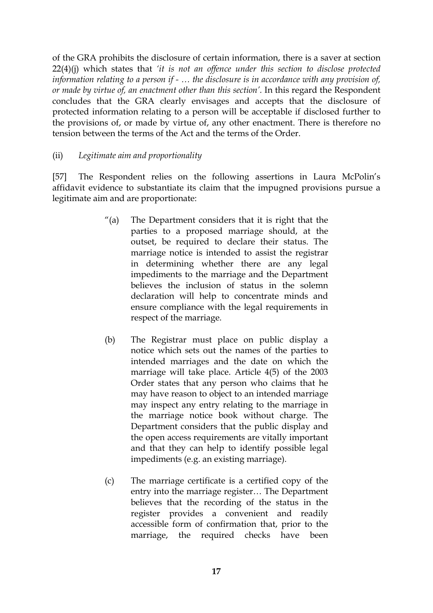of the GRA prohibits the disclosure of certain information, there is a saver at section 22(4)(j) which states that *'it is not an offence under this section to disclose protected information relating to a person if - … the disclosure is in accordance with any provision of, or made by virtue of, an enactment other than this section'.* In this regard the Respondent concludes that the GRA clearly envisages and accepts that the disclosure of protected information relating to a person will be acceptable if disclosed further to the provisions of, or made by virtue of, any other enactment. There is therefore no tension between the terms of the Act and the terms of the Order.

### (ii) *Legitimate aim and proportionality*

[57] The Respondent relies on the following assertions in Laura McPolin's affidavit evidence to substantiate its claim that the impugned provisions pursue a legitimate aim and are proportionate:

- "(a) The Department considers that it is right that the parties to a proposed marriage should, at the outset, be required to declare their status. The marriage notice is intended to assist the registrar in determining whether there are any legal impediments to the marriage and the Department believes the inclusion of status in the solemn declaration will help to concentrate minds and ensure compliance with the legal requirements in respect of the marriage.
- (b) The Registrar must place on public display a notice which sets out the names of the parties to intended marriages and the date on which the marriage will take place. Article 4(5) of the 2003 Order states that any person who claims that he may have reason to object to an intended marriage may inspect any entry relating to the marriage in the marriage notice book without charge. The Department considers that the public display and the open access requirements are vitally important and that they can help to identify possible legal impediments (e.g. an existing marriage).
- (c) The marriage certificate is a certified copy of the entry into the marriage register… The Department believes that the recording of the status in the register provides a convenient and readily accessible form of confirmation that, prior to the marriage, the required checks have been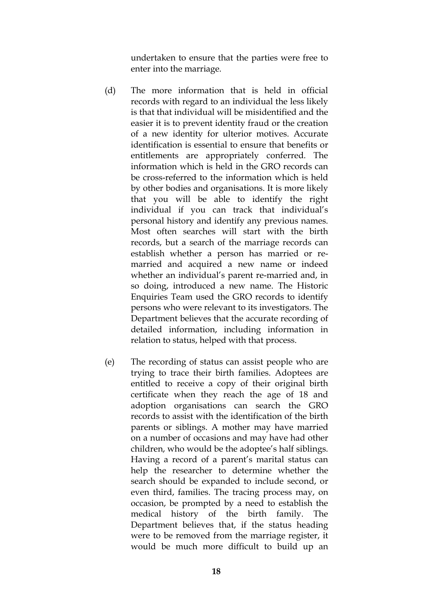undertaken to ensure that the parties were free to enter into the marriage.

- (d) The more information that is held in official records with regard to an individual the less likely is that that individual will be misidentified and the easier it is to prevent identity fraud or the creation of a new identity for ulterior motives. Accurate identification is essential to ensure that benefits or entitlements are appropriately conferred. The information which is held in the GRO records can be cross-referred to the information which is held by other bodies and organisations. It is more likely that you will be able to identify the right individual if you can track that individual's personal history and identify any previous names. Most often searches will start with the birth records, but a search of the marriage records can establish whether a person has married or remarried and acquired a new name or indeed whether an individual's parent re-married and, in so doing, introduced a new name. The Historic Enquiries Team used the GRO records to identify persons who were relevant to its investigators. The Department believes that the accurate recording of detailed information, including information in relation to status, helped with that process.
- (e) The recording of status can assist people who are trying to trace their birth families. Adoptees are entitled to receive a copy of their original birth certificate when they reach the age of 18 and adoption organisations can search the GRO records to assist with the identification of the birth parents or siblings. A mother may have married on a number of occasions and may have had other children, who would be the adoptee's half siblings. Having a record of a parent's marital status can help the researcher to determine whether the search should be expanded to include second, or even third, families. The tracing process may, on occasion, be prompted by a need to establish the medical history of the birth family. The Department believes that, if the status heading were to be removed from the marriage register, it would be much more difficult to build up an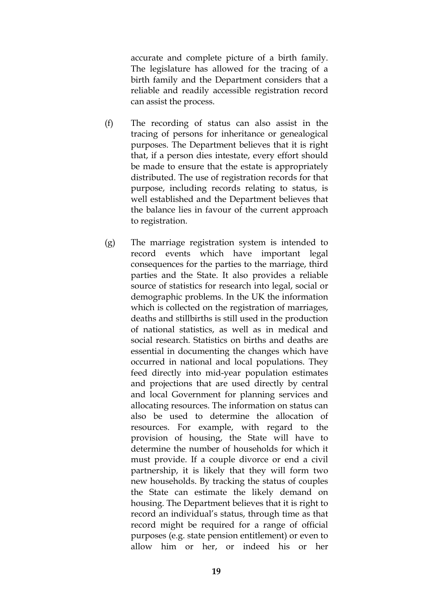accurate and complete picture of a birth family. The legislature has allowed for the tracing of a birth family and the Department considers that a reliable and readily accessible registration record can assist the process.

- (f) The recording of status can also assist in the tracing of persons for inheritance or genealogical purposes. The Department believes that it is right that, if a person dies intestate, every effort should be made to ensure that the estate is appropriately distributed. The use of registration records for that purpose, including records relating to status, is well established and the Department believes that the balance lies in favour of the current approach to registration.
- (g) The marriage registration system is intended to record events which have important legal consequences for the parties to the marriage, third parties and the State. It also provides a reliable source of statistics for research into legal, social or demographic problems. In the UK the information which is collected on the registration of marriages, deaths and stillbirths is still used in the production of national statistics, as well as in medical and social research. Statistics on births and deaths are essential in documenting the changes which have occurred in national and local populations. They feed directly into mid-year population estimates and projections that are used directly by central and local Government for planning services and allocating resources. The information on status can also be used to determine the allocation of resources. For example, with regard to the provision of housing, the State will have to determine the number of households for which it must provide. If a couple divorce or end a civil partnership, it is likely that they will form two new households. By tracking the status of couples the State can estimate the likely demand on housing. The Department believes that it is right to record an individual's status, through time as that record might be required for a range of official purposes (e.g. state pension entitlement) or even to allow him or her, or indeed his or her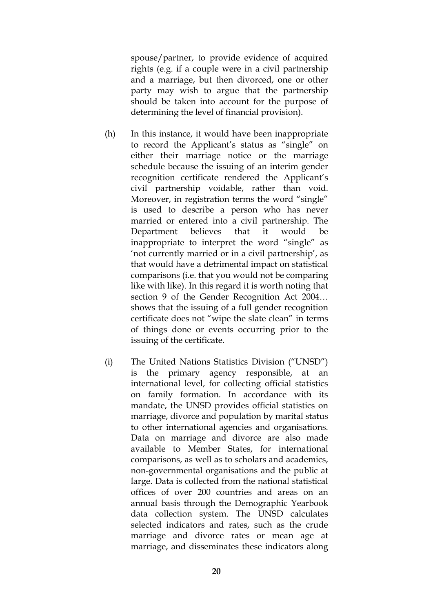spouse/partner, to provide evidence of acquired rights (e.g. if a couple were in a civil partnership and a marriage, but then divorced, one or other party may wish to argue that the partnership should be taken into account for the purpose of determining the level of financial provision).

- (h) In this instance, it would have been inappropriate to record the Applicant's status as "single" on either their marriage notice or the marriage schedule because the issuing of an interim gender recognition certificate rendered the Applicant's civil partnership voidable, rather than void. Moreover, in registration terms the word "single" is used to describe a person who has never married or entered into a civil partnership. The Department believes that it would be inappropriate to interpret the word "single" as 'not currently married or in a civil partnership', as that would have a detrimental impact on statistical comparisons (i.e. that you would not be comparing like with like). In this regard it is worth noting that section 9 of the Gender Recognition Act 2004… shows that the issuing of a full gender recognition certificate does not "wipe the slate clean" in terms of things done or events occurring prior to the issuing of the certificate.
- (i) The United Nations Statistics Division ("UNSD") is the primary agency responsible, at an international level, for collecting official statistics on family formation. In accordance with its mandate, the UNSD provides official statistics on marriage, divorce and population by marital status to other international agencies and organisations. Data on marriage and divorce are also made available to Member States, for international comparisons, as well as to scholars and academics, non-governmental organisations and the public at large. Data is collected from the national statistical offices of over 200 countries and areas on an annual basis through the Demographic Yearbook data collection system. The UNSD calculates selected indicators and rates, such as the crude marriage and divorce rates or mean age at marriage, and disseminates these indicators along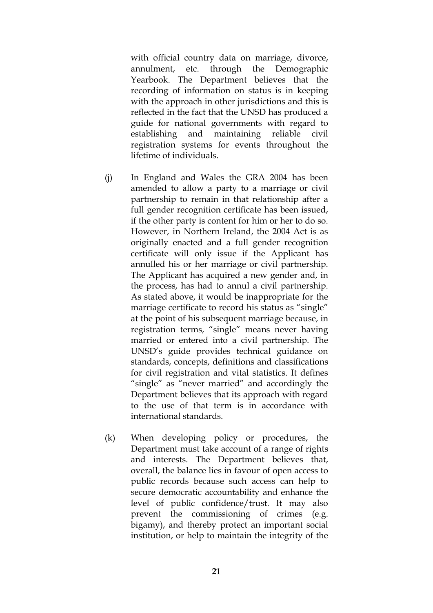with official country data on marriage, divorce, annulment, etc. through the Demographic Yearbook. The Department believes that the recording of information on status is in keeping with the approach in other jurisdictions and this is reflected in the fact that the UNSD has produced a guide for national governments with regard to establishing and maintaining reliable civil registration systems for events throughout the lifetime of individuals.

- (j) In England and Wales the GRA 2004 has been amended to allow a party to a marriage or civil partnership to remain in that relationship after a full gender recognition certificate has been issued, if the other party is content for him or her to do so. However, in Northern Ireland, the 2004 Act is as originally enacted and a full gender recognition certificate will only issue if the Applicant has annulled his or her marriage or civil partnership. The Applicant has acquired a new gender and, in the process, has had to annul a civil partnership. As stated above, it would be inappropriate for the marriage certificate to record his status as "single" at the point of his subsequent marriage because, in registration terms, "single" means never having married or entered into a civil partnership. The UNSD's guide provides technical guidance on standards, concepts, definitions and classifications for civil registration and vital statistics. It defines "single" as "never married" and accordingly the Department believes that its approach with regard to the use of that term is in accordance with international standards.
- (k) When developing policy or procedures, the Department must take account of a range of rights and interests. The Department believes that, overall, the balance lies in favour of open access to public records because such access can help to secure democratic accountability and enhance the level of public confidence/trust. It may also prevent the commissioning of crimes (e.g. bigamy), and thereby protect an important social institution, or help to maintain the integrity of the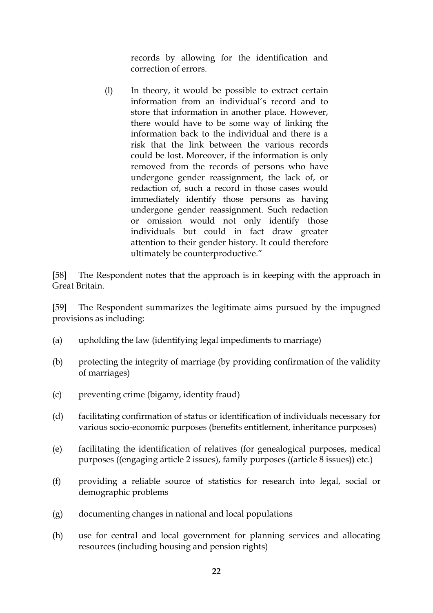records by allowing for the identification and correction of errors.

(l) In theory, it would be possible to extract certain information from an individual's record and to store that information in another place. However, there would have to be some way of linking the information back to the individual and there is a risk that the link between the various records could be lost. Moreover, if the information is only removed from the records of persons who have undergone gender reassignment, the lack of, or redaction of, such a record in those cases would immediately identify those persons as having undergone gender reassignment. Such redaction or omission would not only identify those individuals but could in fact draw greater attention to their gender history. It could therefore ultimately be counterproductive."

[58] The Respondent notes that the approach is in keeping with the approach in Great Britain.

[59] The Respondent summarizes the legitimate aims pursued by the impugned provisions as including:

- (a) upholding the law (identifying legal impediments to marriage)
- (b) protecting the integrity of marriage (by providing confirmation of the validity of marriages)
- (c) preventing crime (bigamy, identity fraud)
- (d) facilitating confirmation of status or identification of individuals necessary for various socio-economic purposes (benefits entitlement, inheritance purposes)
- (e) facilitating the identification of relatives (for genealogical purposes, medical purposes ((engaging article 2 issues), family purposes ((article 8 issues)) etc.)
- (f) providing a reliable source of statistics for research into legal, social or demographic problems
- (g) documenting changes in national and local populations
- (h) use for central and local government for planning services and allocating resources (including housing and pension rights)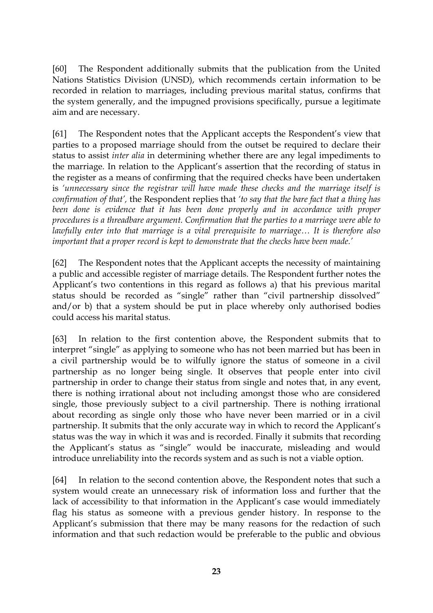[60] The Respondent additionally submits that the publication from the United Nations Statistics Division (UNSD), which recommends certain information to be recorded in relation to marriages, including previous marital status, confirms that the system generally, and the impugned provisions specifically, pursue a legitimate aim and are necessary.

[61] The Respondent notes that the Applicant accepts the Respondent's view that parties to a proposed marriage should from the outset be required to declare their status to assist *inter alia* in determining whether there are any legal impediments to the marriage. In relation to the Applicant's assertion that the recording of status in the register as a means of confirming that the required checks have been undertaken is *'unnecessary since the registrar will have made these checks and the marriage itself is confirmation of that',* the Respondent replies that *'to say that the bare fact that a thing has been done is evidence that it has been done properly and in accordance with proper procedures is a threadbare argument. Confirmation that the parties to a marriage were able to lawfully enter into that marriage is a vital prerequisite to marriage… It is therefore also important that a proper record is kept to demonstrate that the checks have been made.'* 

[62] The Respondent notes that the Applicant accepts the necessity of maintaining a public and accessible register of marriage details. The Respondent further notes the Applicant's two contentions in this regard as follows a) that his previous marital status should be recorded as "single" rather than "civil partnership dissolved" and/or b) that a system should be put in place whereby only authorised bodies could access his marital status.

[63] In relation to the first contention above, the Respondent submits that to interpret "single" as applying to someone who has not been married but has been in a civil partnership would be to wilfully ignore the status of someone in a civil partnership as no longer being single. It observes that people enter into civil partnership in order to change their status from single and notes that, in any event, there is nothing irrational about not including amongst those who are considered single, those previously subject to a civil partnership. There is nothing irrational about recording as single only those who have never been married or in a civil partnership. It submits that the only accurate way in which to record the Applicant's status was the way in which it was and is recorded. Finally it submits that recording the Applicant's status as "single" would be inaccurate, misleading and would introduce unreliability into the records system and as such is not a viable option.

[64] In relation to the second contention above, the Respondent notes that such a system would create an unnecessary risk of information loss and further that the lack of accessibility to that information in the Applicant's case would immediately flag his status as someone with a previous gender history. In response to the Applicant's submission that there may be many reasons for the redaction of such information and that such redaction would be preferable to the public and obvious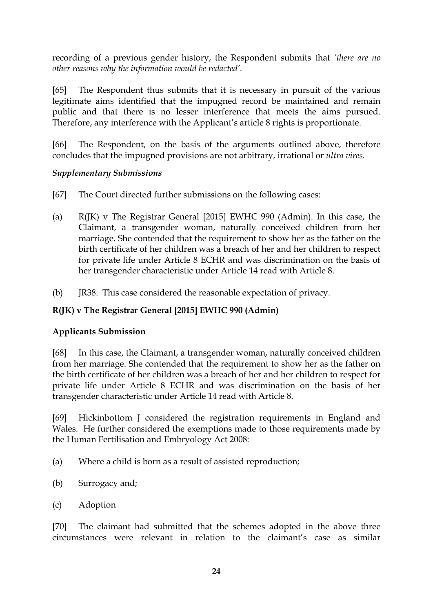recording of a previous gender history, the Respondent submits that *'there are no other reasons why the information would be redacted'.* 

[65] The Respondent thus submits that it is necessary in pursuit of the various legitimate aims identified that the impugned record be maintained and remain public and that there is no lesser interference that meets the aims pursued. Therefore, any interference with the Applicant's article 8 rights is proportionate.

[66] The Respondent, on the basis of the arguments outlined above, therefore concludes that the impugned provisions are not arbitrary, irrational or *ultra vires.*

### *Supplementary Submissions*

- [67] The Court directed further submissions on the following cases:
- (a)  $R(K)$  v The Registrar General [2015] EWHC 990 (Admin). In this case, the Claimant, a transgender woman, naturally conceived children from her marriage. She contended that the requirement to show her as the father on the birth certificate of her children was a breach of her and her children to respect for private life under Article 8 ECHR and was discrimination on the basis of her transgender characteristic under Article 14 read with Article 8.
- (b) JR38. This case considered the reasonable expectation of privacy.

# **R(JK) v The Registrar General [2015] EWHC 990 (Admin)**

### **Applicants Submission**

[68] In this case, the Claimant, a transgender woman, naturally conceived children from her marriage. She contended that the requirement to show her as the father on the birth certificate of her children was a breach of her and her children to respect for private life under Article 8 ECHR and was discrimination on the basis of her transgender characteristic under Article 14 read with Article 8.

[69] Hickinbottom J considered the registration requirements in England and Wales. He further considered the exemptions made to those requirements made by the Human Fertilisation and Embryology Act 2008:

- (a) Where a child is born as a result of assisted reproduction;
- (b) Surrogacy and;
- (c) Adoption

[70] The claimant had submitted that the schemes adopted in the above three circumstances were relevant in relation to the claimant's case as similar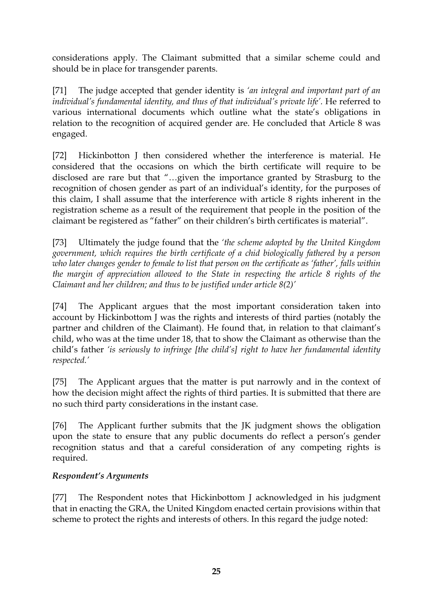considerations apply. The Claimant submitted that a similar scheme could and should be in place for transgender parents.

[71] The judge accepted that gender identity is *'an integral and important part of an*  individual's fundamental identity, and thus of that individual's private life'. He referred to various international documents which outline what the state's obligations in relation to the recognition of acquired gender are. He concluded that Article 8 was engaged.

[72] Hickinbotton J then considered whether the interference is material. He considered that the occasions on which the birth certificate will require to be disclosed are rare but that "…given the importance granted by Strasburg to the recognition of chosen gender as part of an individual's identity, for the purposes of this claim, I shall assume that the interference with article 8 rights inherent in the registration scheme as a result of the requirement that people in the position of the claimant be registered as "father" on their children's birth certificates is material".

[73] Ultimately the judge found that the *'the scheme adopted by the United Kingdom government, which requires the birth certificate of a chid biologically fathered by a person who later changes gender to female to list that person on the certificate as 'father', falls within the margin of appreciation allowed to the State in respecting the article 8 rights of the Claimant and her children; and thus to be justified under article 8(2)'*

[74] The Applicant argues that the most important consideration taken into account by Hickinbottom J was the rights and interests of third parties (notably the partner and children of the Claimant). He found that, in relation to that claimant's child, who was at the time under 18, that to show the Claimant as otherwise than the child's father *'is seriously to infringe [the child's] right to have her fundamental identity respected.'*

[75] The Applicant argues that the matter is put narrowly and in the context of how the decision might affect the rights of third parties. It is submitted that there are no such third party considerations in the instant case.

[76] The Applicant further submits that the JK judgment shows the obligation upon the state to ensure that any public documents do reflect a person's gender recognition status and that a careful consideration of any competing rights is required.

# *Respondent's Arguments*

[77] The Respondent notes that Hickinbottom J acknowledged in his judgment that in enacting the GRA, the United Kingdom enacted certain provisions within that scheme to protect the rights and interests of others. In this regard the judge noted: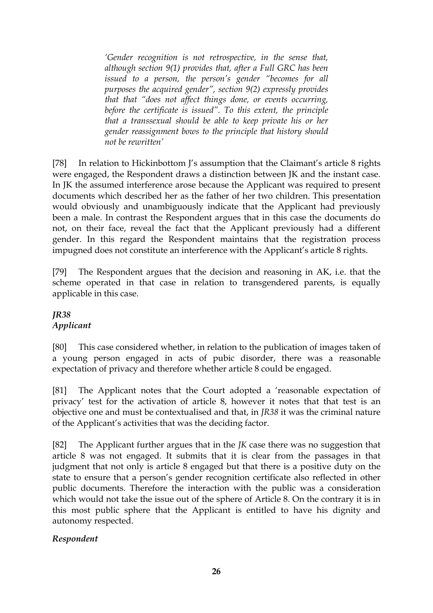*'Gender recognition is not retrospective, in the sense that, although section 9(1) provides that, after a Full GRC has been issued to a person, the person's gender "becomes for all purposes the acquired gender", section 9(2) expressly provides that that "does not affect things done, or events occurring, before the certificate is issued". To this extent, the principle that a transsexual should be able to keep private his or her gender reassignment bows to the principle that history should not be rewritten'*

[78] In relation to Hickinbottom I's assumption that the Claimant's article 8 rights were engaged, the Respondent draws a distinction between JK and the instant case. In JK the assumed interference arose because the Applicant was required to present documents which described her as the father of her two children. This presentation would obviously and unambiguously indicate that the Applicant had previously been a male. In contrast the Respondent argues that in this case the documents do not, on their face, reveal the fact that the Applicant previously had a different gender. In this regard the Respondent maintains that the registration process impugned does not constitute an interference with the Applicant's article 8 rights.

[79] The Respondent argues that the decision and reasoning in AK, i.e. that the scheme operated in that case in relation to transgendered parents, is equally applicable in this case.

# *JR38 Applicant*

[80] This case considered whether, in relation to the publication of images taken of a young person engaged in acts of pubic disorder, there was a reasonable expectation of privacy and therefore whether article 8 could be engaged.

[81] The Applicant notes that the Court adopted a 'reasonable expectation of privacy' test for the activation of article 8, however it notes that that test is an objective one and must be contextualised and that, in *JR38* it was the criminal nature of the Applicant's activities that was the deciding factor.

[82] The Applicant further argues that in the *JK* case there was no suggestion that article 8 was not engaged. It submits that it is clear from the passages in that judgment that not only is article 8 engaged but that there is a positive duty on the state to ensure that a person's gender recognition certificate also reflected in other public documents. Therefore the interaction with the public was a consideration which would not take the issue out of the sphere of Article 8. On the contrary it is in this most public sphere that the Applicant is entitled to have his dignity and autonomy respected.

### *Respondent*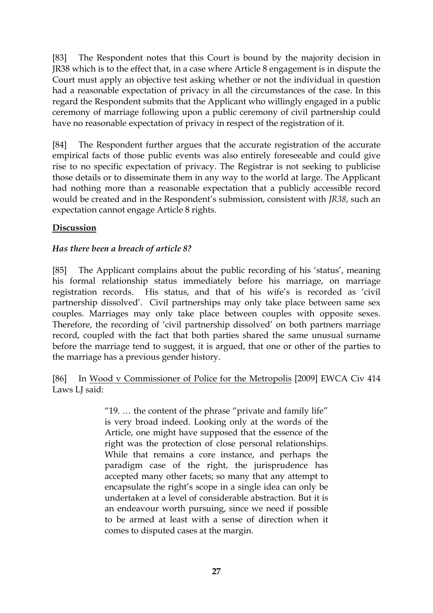[83] The Respondent notes that this Court is bound by the majority decision in JR38 which is to the effect that, in a case where Article 8 engagement is in dispute the Court must apply an objective test asking whether or not the individual in question had a reasonable expectation of privacy in all the circumstances of the case. In this regard the Respondent submits that the Applicant who willingly engaged in a public ceremony of marriage following upon a public ceremony of civil partnership could have no reasonable expectation of privacy in respect of the registration of it.

[84] The Respondent further argues that the accurate registration of the accurate empirical facts of those public events was also entirely foreseeable and could give rise to no specific expectation of privacy. The Registrar is not seeking to publicise those details or to disseminate them in any way to the world at large. The Applicant had nothing more than a reasonable expectation that a publicly accessible record would be created and in the Respondent's submission, consistent with *JR38*, such an expectation cannot engage Article 8 rights.

### **Discussion**

### *Has there been a breach of article 8?*

[85] The Applicant complains about the public recording of his 'status', meaning his formal relationship status immediately before his marriage, on marriage registration records. His status, and that of his wife's is recorded as 'civil partnership dissolved'. Civil partnerships may only take place between same sex couples. Marriages may only take place between couples with opposite sexes. Therefore, the recording of 'civil partnership dissolved' on both partners marriage record, coupled with the fact that both parties shared the same unusual surname before the marriage tend to suggest, it is argued, that one or other of the parties to the marriage has a previous gender history.

### [86] In Wood v Commissioner of Police for the Metropolis [2009] EWCA Civ 414 Laws LJ said:

"19. … the content of the phrase "private and family life" is very broad indeed. Looking only at the words of the Article, one might have supposed that the essence of the right was the protection of close personal relationships. While that remains a core instance, and perhaps the paradigm case of the right, the jurisprudence has accepted many other facets; so many that any attempt to encapsulate the right's scope in a single idea can only be undertaken at a level of considerable abstraction. But it is an endeavour worth pursuing, since we need if possible to be armed at least with a sense of direction when it comes to disputed cases at the margin.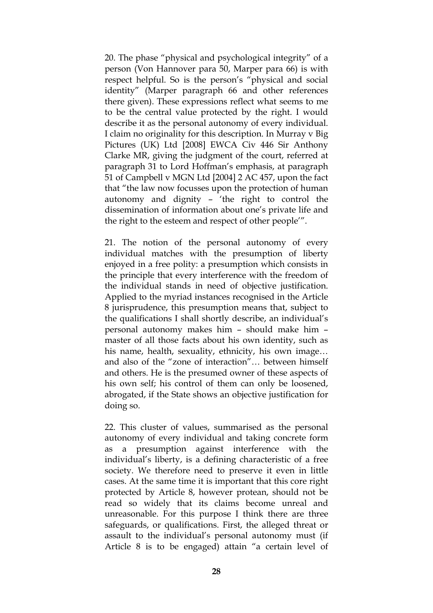20. The phase "physical and psychological integrity" of a person (Von Hannover para 50, Marper para 66) is with respect helpful. So is the person's "physical and social identity" (Marper paragraph 66 and other references there given). These expressions reflect what seems to me to be the central value protected by the right. I would describe it as the personal autonomy of every individual. I claim no originality for this description. In Murray v Big Pictures (UK) Ltd [2008] EWCA Civ 446 Sir Anthony Clarke MR, giving the judgment of the court, referred at paragraph 31 to Lord Hoffman's emphasis, at paragraph 51 of Campbell v MGN Ltd [2004] 2 AC 457, upon the fact that "the law now focusses upon the protection of human autonomy and dignity – 'the right to control the dissemination of information about one's private life and the right to the esteem and respect of other people'".

21. The notion of the personal autonomy of every individual matches with the presumption of liberty enjoyed in a free polity: a presumption which consists in the principle that every interference with the freedom of the individual stands in need of objective justification. Applied to the myriad instances recognised in the Article 8 jurisprudence, this presumption means that, subject to the qualifications I shall shortly describe, an individual's personal autonomy makes him – should make him – master of all those facts about his own identity, such as his name, health, sexuality, ethnicity, his own image… and also of the "zone of interaction"… between himself and others. He is the presumed owner of these aspects of his own self; his control of them can only be loosened, abrogated, if the State shows an objective justification for doing so.

22. This cluster of values, summarised as the personal autonomy of every individual and taking concrete form as a presumption against interference with the individual's liberty, is a defining characteristic of a free society. We therefore need to preserve it even in little cases. At the same time it is important that this core right protected by Article 8, however protean, should not be read so widely that its claims become unreal and unreasonable. For this purpose I think there are three safeguards, or qualifications. First, the alleged threat or assault to the individual's personal autonomy must (if Article 8 is to be engaged) attain "a certain level of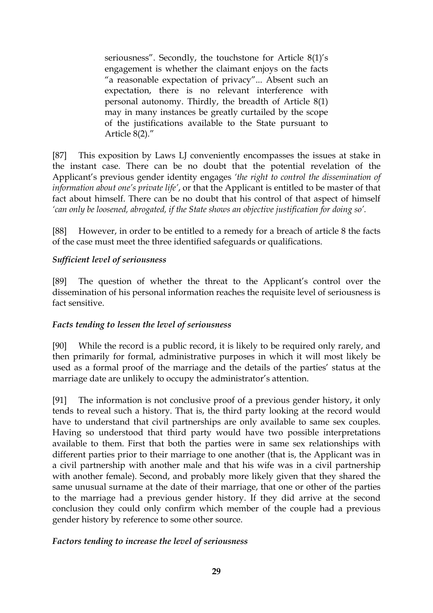seriousness". Secondly, the touchstone for Article 8(1)'s engagement is whether the claimant enjoys on the facts "a reasonable expectation of privacy"... Absent such an expectation, there is no relevant interference with personal autonomy. Thirdly, the breadth of Article 8(1) may in many instances be greatly curtailed by the scope of the justifications available to the State pursuant to Article 8(2)."

[87] This exposition by Laws LJ conveniently encompasses the issues at stake in the instant case. There can be no doubt that the potential revelation of the Applicant's previous gender identity engages *'the right to control the dissemination of information about one's private life'*, or that the Applicant is entitled to be master of that fact about himself. There can be no doubt that his control of that aspect of himself *'can only be loosened, abrogated, if the State shows an objective justification for doing so'.* 

[88] However, in order to be entitled to a remedy for a breach of article 8 the facts of the case must meet the three identified safeguards or qualifications.

### *Sufficient level of seriousness*

[89] The question of whether the threat to the Applicant's control over the dissemination of his personal information reaches the requisite level of seriousness is fact sensitive.

### *Facts tending to lessen the level of seriousness*

[90] While the record is a public record, it is likely to be required only rarely, and then primarily for formal, administrative purposes in which it will most likely be used as a formal proof of the marriage and the details of the parties' status at the marriage date are unlikely to occupy the administrator's attention.

[91] The information is not conclusive proof of a previous gender history, it only tends to reveal such a history. That is, the third party looking at the record would have to understand that civil partnerships are only available to same sex couples. Having so understood that third party would have two possible interpretations available to them. First that both the parties were in same sex relationships with different parties prior to their marriage to one another (that is, the Applicant was in a civil partnership with another male and that his wife was in a civil partnership with another female). Second, and probably more likely given that they shared the same unusual surname at the date of their marriage, that one or other of the parties to the marriage had a previous gender history. If they did arrive at the second conclusion they could only confirm which member of the couple had a previous gender history by reference to some other source.

### *Factors tending to increase the level of seriousness*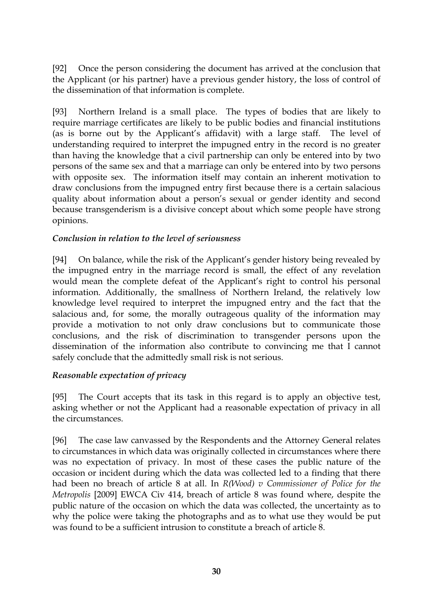[92] Once the person considering the document has arrived at the conclusion that the Applicant (or his partner) have a previous gender history, the loss of control of the dissemination of that information is complete.

[93] Northern Ireland is a small place. The types of bodies that are likely to require marriage certificates are likely to be public bodies and financial institutions (as is borne out by the Applicant's affidavit) with a large staff. The level of understanding required to interpret the impugned entry in the record is no greater than having the knowledge that a civil partnership can only be entered into by two persons of the same sex and that a marriage can only be entered into by two persons with opposite sex. The information itself may contain an inherent motivation to draw conclusions from the impugned entry first because there is a certain salacious quality about information about a person's sexual or gender identity and second because transgenderism is a divisive concept about which some people have strong opinions.

### *Conclusion in relation to the level of seriousness*

[94] On balance, while the risk of the Applicant's gender history being revealed by the impugned entry in the marriage record is small, the effect of any revelation would mean the complete defeat of the Applicant's right to control his personal information. Additionally, the smallness of Northern Ireland, the relatively low knowledge level required to interpret the impugned entry and the fact that the salacious and, for some, the morally outrageous quality of the information may provide a motivation to not only draw conclusions but to communicate those conclusions, and the risk of discrimination to transgender persons upon the dissemination of the information also contribute to convincing me that I cannot safely conclude that the admittedly small risk is not serious.

### *Reasonable expectation of privacy*

[95] The Court accepts that its task in this regard is to apply an objective test, asking whether or not the Applicant had a reasonable expectation of privacy in all the circumstances.

[96] The case law canvassed by the Respondents and the Attorney General relates to circumstances in which data was originally collected in circumstances where there was no expectation of privacy. In most of these cases the public nature of the occasion or incident during which the data was collected led to a finding that there had been no breach of article 8 at all. In *R(Wood) v Commissioner of Police for the Metropolis* [2009] EWCA Civ 414, breach of article 8 was found where, despite the public nature of the occasion on which the data was collected, the uncertainty as to why the police were taking the photographs and as to what use they would be put was found to be a sufficient intrusion to constitute a breach of article 8.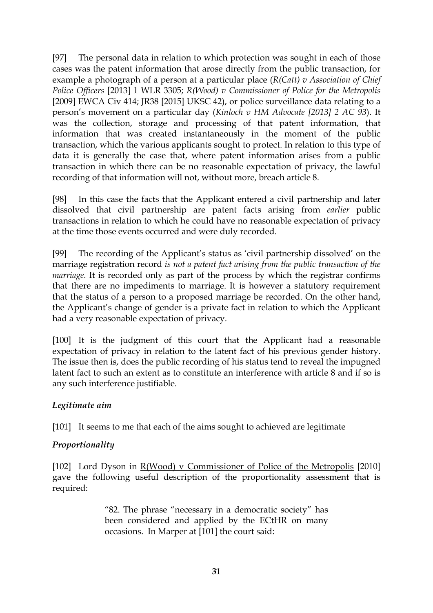[97] The personal data in relation to which protection was sought in each of those cases was the patent information that arose directly from the public transaction, for example a photograph of a person at a particular place (*R(Catt) v Association of Chief Police Officers* [2013] 1 WLR 3305; *R(Wood) v Commissioner of Police for the Metropolis* [2009] EWCA Civ 414; JR38 [2015] UKSC 42), or police surveillance data relating to a person's movement on a particular day (*Kinloch v HM Advocate [2013] 2 AC 93*). It was the collection, storage and processing of that patent information, that information that was created instantaneously in the moment of the public transaction, which the various applicants sought to protect. In relation to this type of data it is generally the case that, where patent information arises from a public transaction in which there can be no reasonable expectation of privacy, the lawful recording of that information will not, without more, breach article 8.

[98] In this case the facts that the Applicant entered a civil partnership and later dissolved that civil partnership are patent facts arising from *earlier* public transactions in relation to which he could have no reasonable expectation of privacy at the time those events occurred and were duly recorded.

[99] The recording of the Applicant's status as 'civil partnership dissolved' on the marriage registration record *is not a patent fact arising from the public transaction of the marriage*. It is recorded only as part of the process by which the registrar confirms that there are no impediments to marriage. It is however a statutory requirement that the status of a person to a proposed marriage be recorded. On the other hand, the Applicant's change of gender is a private fact in relation to which the Applicant had a very reasonable expectation of privacy.

[100] It is the judgment of this court that the Applicant had a reasonable expectation of privacy in relation to the latent fact of his previous gender history. The issue then is, does the public recording of his status tend to reveal the impugned latent fact to such an extent as to constitute an interference with article 8 and if so is any such interference justifiable.

### *Legitimate aim*

[101] It seems to me that each of the aims sought to achieved are legitimate

### *Proportionality*

[102] Lord Dyson in R(Wood) v Commissioner of Police of the Metropolis [2010] gave the following useful description of the proportionality assessment that is required:

> "82. The phrase "necessary in a democratic society" has been considered and applied by the ECtHR on many occasions. In Marper at [101] the court said: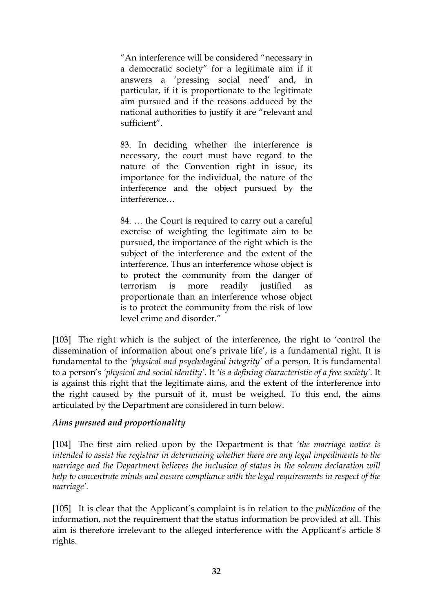"An interference will be considered "necessary in a democratic society" for a legitimate aim if it answers a 'pressing social need' and, in particular, if it is proportionate to the legitimate aim pursued and if the reasons adduced by the national authorities to justify it are "relevant and sufficient".

83. In deciding whether the interference is necessary, the court must have regard to the nature of the Convention right in issue, its importance for the individual, the nature of the interference and the object pursued by the interference…

84. … the Court is required to carry out a careful exercise of weighting the legitimate aim to be pursued, the importance of the right which is the subject of the interference and the extent of the interference. Thus an interference whose object is to protect the community from the danger of terrorism is more readily justified as proportionate than an interference whose object is to protect the community from the risk of low level crime and disorder."

[103] The right which is the subject of the interference, the right to 'control the dissemination of information about one's private life', is a fundamental right. It is fundamental to the *'physical and psychological integrity'* of a person. It is fundamental to a person's *'physical and social identity'.* It *'is a defining characteristic of a free society'.* It is against this right that the legitimate aims, and the extent of the interference into the right caused by the pursuit of it, must be weighed. To this end, the aims articulated by the Department are considered in turn below.

### *Aims pursued and proportionality*

[104] The first aim relied upon by the Department is that *'the marriage notice is intended to assist the registrar in determining whether there are any legal impediments to the marriage and the Department believes the inclusion of status in the solemn declaration will help to concentrate minds and ensure compliance with the legal requirements in respect of the marriage'.* 

[105] It is clear that the Applicant's complaint is in relation to the *publication* of the information, not the requirement that the status information be provided at all. This aim is therefore irrelevant to the alleged interference with the Applicant's article 8 rights.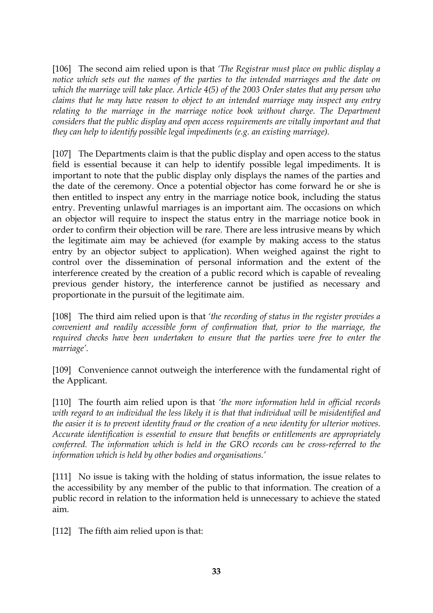[106] The second aim relied upon is that *'The Registrar must place on public display a notice which sets out the names of the parties to the intended marriages and the date on which the marriage will take place. Article 4(5) of the 2003 Order states that any person who claims that he may have reason to object to an intended marriage may inspect any entry*  relating to the marriage in the marriage notice book without charge. The Department *considers that the public display and open access requirements are vitally important and that they can help to identify possible legal impediments (e.g. an existing marriage).* 

[107] The Departments claim is that the public display and open access to the status field is essential because it can help to identify possible legal impediments. It is important to note that the public display only displays the names of the parties and the date of the ceremony. Once a potential objector has come forward he or she is then entitled to inspect any entry in the marriage notice book, including the status entry. Preventing unlawful marriages is an important aim. The occasions on which an objector will require to inspect the status entry in the marriage notice book in order to confirm their objection will be rare. There are less intrusive means by which the legitimate aim may be achieved (for example by making access to the status entry by an objector subject to application). When weighed against the right to control over the dissemination of personal information and the extent of the interference created by the creation of a public record which is capable of revealing previous gender history, the interference cannot be justified as necessary and proportionate in the pursuit of the legitimate aim.

[108] The third aim relied upon is that *'the recording of status in the register provides a convenient and readily accessible form of confirmation that, prior to the marriage, the required checks have been undertaken to ensure that the parties were free to enter the marriage'.* 

[109] Convenience cannot outweigh the interference with the fundamental right of the Applicant.

[110] The fourth aim relied upon is that *'the more information held in official records with regard to an individual the less likely it is that that individual will be misidentified and the easier it is to prevent identity fraud or the creation of a new identity for ulterior motives. Accurate identification is essential to ensure that benefits or entitlements are appropriately conferred. The information which is held in the GRO records can be cross-referred to the information which is held by other bodies and organisations.'*

[111] No issue is taking with the holding of status information, the issue relates to the accessibility by any member of the public to that information. The creation of a public record in relation to the information held is unnecessary to achieve the stated aim.

[112] The fifth aim relied upon is that: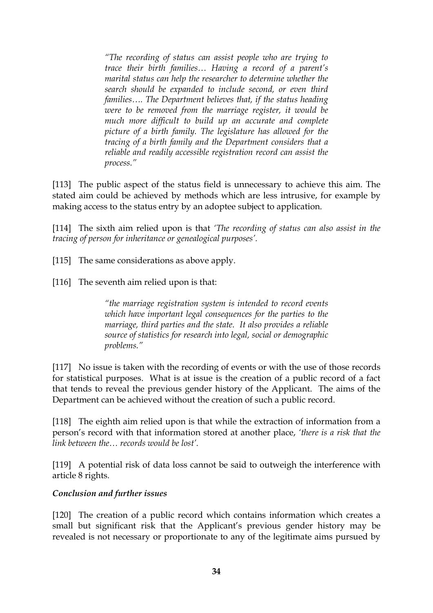*"The recording of status can assist people who are trying to trace their birth families… Having a record of a parent's marital status can help the researcher to determine whether the search should be expanded to include second, or even third families…. The Department believes that, if the status heading were to be removed from the marriage register, it would be much more difficult to build up an accurate and complete picture of a birth family. The legislature has allowed for the tracing of a birth family and the Department considers that a reliable and readily accessible registration record can assist the process."*

[113] The public aspect of the status field is unnecessary to achieve this aim. The stated aim could be achieved by methods which are less intrusive, for example by making access to the status entry by an adoptee subject to application.

[114] The sixth aim relied upon is that *'The recording of status can also assist in the tracing of person for inheritance or genealogical purposes'.* 

[115] The same considerations as above apply.

[116] The seventh aim relied upon is that:

*"the marriage registration system is intended to record events which have important legal consequences for the parties to the marriage, third parties and the state. It also provides a reliable source of statistics for research into legal, social or demographic problems."*

[117] No issue is taken with the recording of events or with the use of those records for statistical purposes. What is at issue is the creation of a public record of a fact that tends to reveal the previous gender history of the Applicant. The aims of the Department can be achieved without the creation of such a public record.

[118] The eighth aim relied upon is that while the extraction of information from a person's record with that information stored at another place, *'there is a risk that the link between the… records would be lost'.* 

[119] A potential risk of data loss cannot be said to outweigh the interference with article 8 rights.

### *Conclusion and further issues*

[120] The creation of a public record which contains information which creates a small but significant risk that the Applicant's previous gender history may be revealed is not necessary or proportionate to any of the legitimate aims pursued by